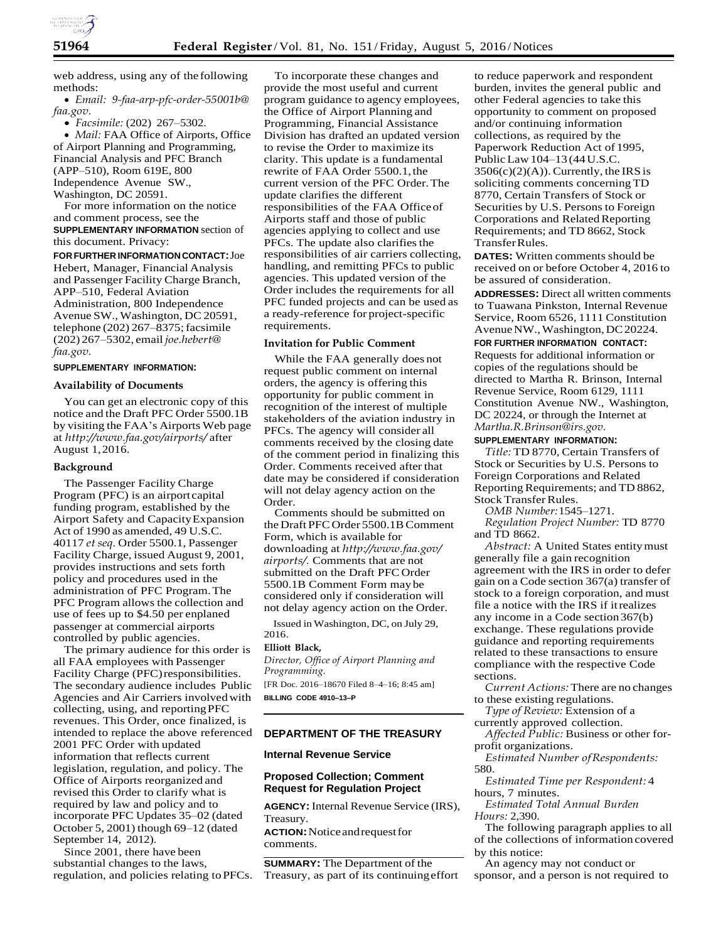

web address, using any of the following methods:

 *Email: [9-faa-arp-pfc-order-55001b@](mailto:9-faa-arp-pfc-order-55001b@faa.gov) [faa.gov.](mailto:9-faa-arp-pfc-order-55001b@faa.gov)*

*Facsimile:* (202) 267–5302.

 *Mail:* FAA Office of Airports, Office of Airport Planning and Programming, Financial Analysis and PFC Branch (APP–510), Room 619E, 800 Independence Avenue SW., Washington, DC 20591.

For more information on the notice and comment process, see the **SUPPLEMENTARY INFORMATION** section of this document. Privacy:

**FOR FURTHER INFORMATION CONTACT:**Joe Hebert, Manager, Financial Analysis and Passenger Facility Charge Branch, APP–510, Federal Aviation Administration, 800 Independence Avenue SW., Washington, DC 20591, telephone (202) 267-8375; facsimile (202) 267–5302, email *[joe.hebert@](mailto:joe.hebert@faa.gov) [faa.gov.](mailto:joe.hebert@faa.gov)*

### **SUPPLEMENTARY INFORMATION:**

### **Availability of Documents**

You can get an electronic copy of this notice and the Draft PFC Order 5500.1B by visiting the FAA's Airports Web page at *<http://www.faa.gov/airports/>* after August 1,2016.

#### **Background**

The Passenger Facility Charge Program (PFC) is an airport capital funding program, established by the Airport Safety and CapacityExpansion Act of 1990 as amended, 49 U.S.C. 40117 *et seq.* Order 5500.1, Passenger Facility Charge, issued August 9, 2001, provides instructions and sets forth policy and procedures used in the administration of PFC Program.The PFC Program allows the collection and use of fees up to \$4.50 per enplaned passenger at commercial airports controlled by public agencies.

The primary audience for this order is all FAA employees with Passenger Facility Charge (PFC)responsibilities. The secondary audience includes Public Agencies and Air Carriers involvedwith collecting, using, and reportingPFC revenues. This Order, once finalized, is intended to replace the above referenced 2001 PFC Order with updated information that reflects current legislation, regulation, and policy. The Office of Airports reorganized and revised this Order to clarify what is required by law and policy and to incorporate PFC Updates 35–02 (dated October 5, 2001) though 69–12 (dated September 14, 2012).

Since 2001, there have been by this notice: substantial changes to the laws, regulation, and policies relating toPFCs.

To incorporate these changes and provide the most useful and current program guidance to agency employees, the Office of Airport Planning and Programming, Financial Assistance Division has drafted an updated version to revise the Order to maximize its clarity. This update is a fundamental rewrite of FAA Order 5500.1,the current version of the PFC Order.The update clarifies the different responsibilities of the FAA Officeof Airports staff and those of public agencies applying to collect and use PFCs. The update also clarifies the responsibilities of air carriers collecting, handling, and remitting PFCs to public agencies. This updated version of the Order includes the requirements for all PFC funded projects and can be used as a ready-reference for project-specific requirements.

#### **Invitation for Public Comment**

While the FAA generally does not request public comment on internal orders, the agency is offering this opportunity for public comment in recognition of the interest of multiple stakeholders of the aviation industry in PFCs. The agency will consider all comments received by the closing date of the comment period in finalizing this Order. Comments received after that date may be considered if consideration will not delay agency action on the Order.

Comments should be submitted on the Draft PFC Order 5500.1B Comment Form, which is available for downloading at *[http://www.faa.gov/](http://www.faa.gov/airports/) [airports/.](http://www.faa.gov/airports/)* Comments that are not submitted on the Draft PFC Order 5500.1B Comment Form may be considered only if consideration will not delay agency action on the Order.

Issued in Washington, DC, on July 29, 2016.

## **Elliott Black,**

*Director, Office of Airport Planning and Programming.* [FR Doc. 2016–18670 Filed 8–4–16; 8:45 am] **BILLING CODE 4910–13–P**

## **DEPARTMENT OF THE TREASURY**

#### **Internal Revenue Service**

# **Proposed Collection; Comment Request for Regulation Project**

**AGENCY:** Internal Revenue Service (IRS), Treasury. **ACTION:**Noticeandrequestfor comments.

**SUMMARY:** The Department of the Treasury, as part of its continuingeffort

to reduce paperwork and respondent burden, invites the general public and other Federal agencies to take this opportunity to comment on proposed and/or continuing information collections, as required by the Paperwork Reduction Act of 1995, PublicLaw104–13 (44U.S.C.  $3506(c)(2)(A)$ ). Currently, the IRS is soliciting comments concerning TD 8770, Certain Transfers of Stock or Securities by U.S. Persons to Foreign Corporations and Related Reporting Requirements; and TD 8662, Stock TransferRules.

**DATES:** Written comments should be received on or before October 4, 2016 to be assured of consideration.

**ADDRESSES:** Direct all written comments to Tuawana Pinkston, Internal Revenue Service, Room 6526, 1111 Constitution AvenueNW.,Washington,DC20224.

#### **FOR FURTHER INFORMATION CONTACT:**

Requests for additional information or copies of the regulations should be directed to Martha R. Brinson, Internal Revenue Service, Room 6129, 1111 Constitution Avenue NW., Washington, DC 20224, or through the Internet at *[Martha.R.Brinson@irs.gov.](mailto:Martha.R.Brinson@irs.gov)*

### **SUPPLEMENTARY INFORMATION:**

*Title:* TD 8770, Certain Transfers of Stock or Securities by U.S. Persons to Foreign Corporations and Related Reporting Requirements; and TD 8862, Stock Transfer Rules.

*OMB Number:*1545–1271.

*Regulation Project Number:* TD 8770 and TD 8662.

*Abstract:* A United States entitymust generally file a gain recognition agreement with the IRS in order to defer gain on a Code section 367(a) transfer of stock to a foreign corporation, and must file a notice with the IRS if itrealizes any income in a Code section367(b) exchange. These regulations provide guidance and reporting requirements related to these transactions to ensure compliance with the respective Code sections.

*Current Actions:* There are no changes to these existing regulations.

*Type of Review:* Extension of a currently approved collection.

*Affected Public:* Business or other forprofit organizations.

*Estimated Number ofRespondents:* 580.

*Estimated Time per Respondent:* 4 hours, 7 minutes.

*Estimated Total Annual Burden Hours:* 2,390.

The following paragraph applies to all of the collections of information covered

An agency may not conduct or sponsor, and a person is not required to